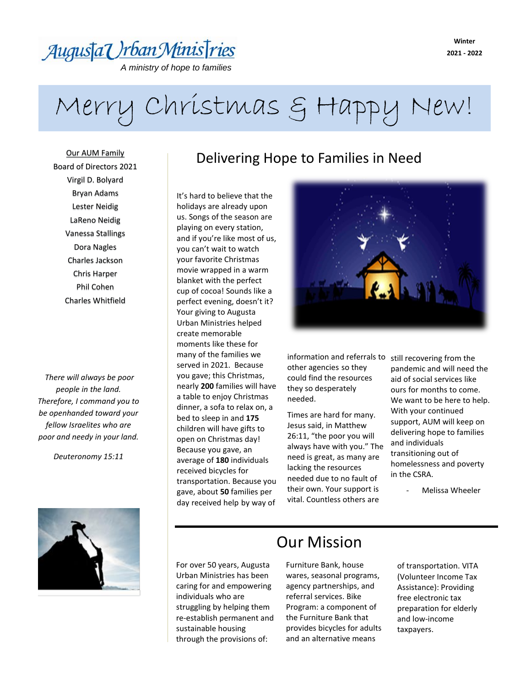## Augusta Urban Ministries

*A ministry of hope to families* 

*Established in 1969in need*

### **Winter 2021 - 2022**

# Merry Christmas & Happy New!

Our AUM Family Board of Directors 2021 Virgil D. Bolyard Bryan Adams Lester Neidig LaReno Neidig Vanessa Stallings Dora Nagles Charles Jackson Chris Harper Phil Cohen Charles Whitfield

*There will always be poor people in the land. Therefore, I command you to be openhanded toward your fellow Israelites who are poor and needy in your land.*

*Deuteronomy 15:11*



## Delivering Hope to Families in Need

It's hard to believe that the holidays are already upon us. Songs of the season are playing on every station, and if you're like most of us, you can't wait to watch your favorite Christmas movie wrapped in a warm blanket with the perfect cup of cocoa! Sounds like a perfect evening, doesn't it? Your giving to Augusta Urban Ministries helped create memorable moments like these for many of the families we served in 2021. Because you gave; this Christmas, nearly **200** families will have a table to enjoy Christmas dinner, a sofa to relax on, a bed to sleep in and **175** children will have gifts to open on Christmas day! Because you gave, an average of **180** individuals received bicycles for transportation. Because you gave, about **50** families per day received help by way of



information and referrals to still recovering from the other agencies so they could find the resources they so desperately needed.

Times are hard for many. Jesus said, in Matthew 26:11, "the poor you will always have with you." The need is great, as many are lacking the resources needed due to no fault of their own. Your support is vital. Countless others are

pandemic and will need the aid of social services like ours for months to come. We want to be here to help. With your continued support, AUM will keep on delivering hope to families and individuals transitioning out of homelessness and poverty in the CSRA.

Melissa Wheeler

### For over 50 years, Augusta Urban Ministries has been caring for and empowering individuals who are struggling by helping them re-establish permanent and sustainable housing through the provisions of:

### Our Mission

Furniture Bank, house wares, seasonal programs, agency partnerships, and referral services. Bike Program: a component of the Furniture Bank that provides bicycles for adults and an alternative means

of transportation. VITA (Volunteer Income Tax Assistance): Providing free electronic tax preparation for elderly and low-income taxpayers.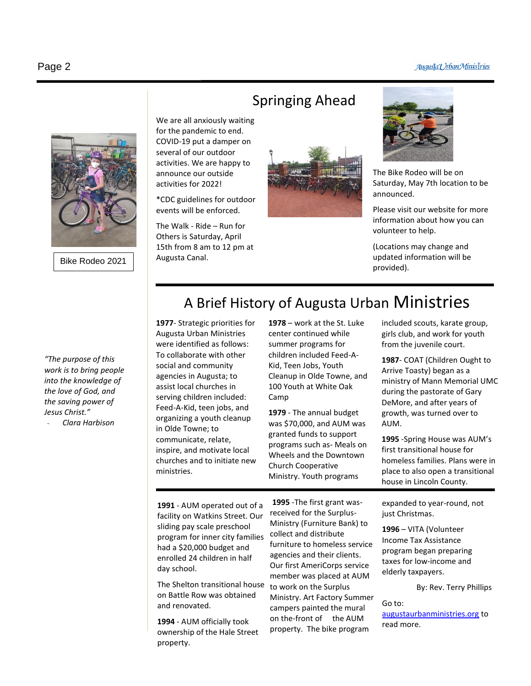#### Augusta Urban Ministries



Bike Rodeo 2021

*"The purpose of this work is to bring people into the knowledge of the love of God, and the saving power of Jesus Christ."* 

- *Clara Harbison*

### Springing Ahead

We are all anxiously waiting for the pandemic to end. COVID-19 put a damper on several of our outdoor activities. We are happy to announce our outside activities for 2022!

\*CDC guidelines for outdoor events will be enforced.

The Walk - Ride – Run for Others is Saturday, April 15th from 8 am to 12 pm at Augusta Canal.





The Bike Rodeo will be on Saturday, May 7th location to be announced.

Please visit our website for more information about how you can volunteer to help.

(Locations may change and updated information will be provided).

### A Brief History of Augusta Urban Ministries

**1977**- Strategic priorities for Augusta Urban Ministries were identified as follows: To collaborate with other social and community agencies in Augusta; to assist local churches in serving children included: Feed-A-Kid, teen jobs, and organizing a youth cleanup in Olde Towne; to communicate, relate, inspire, and motivate local churches and to initiate new ministries.

**1978** – work at the St. Luke center continued while summer programs for children included Feed-A-Kid, Teen Jobs, Youth Cleanup in Olde Towne, and 100 Youth at White Oak Camp

**1979** - The annual budget was \$70,000, and AUM was granted funds to support programs such as- Meals on Wheels and the Downtown Church Cooperative Ministry. Youth programs

included scouts, karate group, girls club, and work for youth from the juvenile court.

**1987**- COAT (Children Ought to Arrive Toasty) began as a ministry of Mann Memorial UMC during the pastorate of Gary DeMore, and after years of growth, was turned over to AUM.

**1995** -Spring House was AUM's first transitional house for homeless families. Plans were in place to also open a transitional house in Lincoln County.

**1991** - AUM operated out of a facility on Watkins Street. Our sliding pay scale preschool program for inner city families had a \$20,000 budget and enrolled 24 children in half day school.

The Shelton transitional house on Battle Row was obtained and renovated.

**1994** - AUM officially took ownership of the Hale Street property.

**1995** -The first grant wasreceived for the Surplus-Ministry (Furniture Bank) to collect and distribute furniture to homeless service agencies and their clients. Our first AmeriCorps service member was placed at AUM to work on the Surplus Ministry. Art Factory Summer campers painted the mural on the-front of the AUM property. The bike program

expanded to year-round, not just Christmas.

**1996** – VITA (Volunteer Income Tax Assistance program began preparing taxes for low-income and elderly taxpayers.

```
By: Rev. Terry Phillips
```
Go to: read more.

[augustaurbanministries.org](file:///C:/Users/augus/Documents/augustaurbanminstries.org) to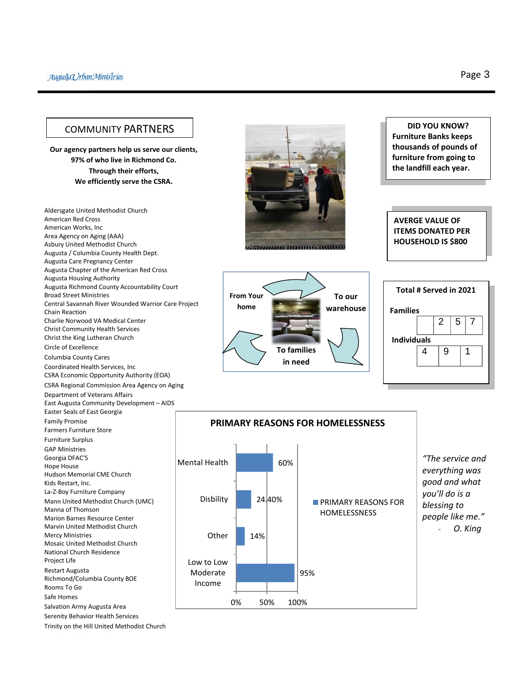### COMMUNITY PARTNERS

**Our agency partners help us serve our clients, 97% of who live in Richmond Co. Through their efforts, We efficiently serve the CSRA.**

Aldersgate United Methodist Church American Red Cross American Works, Inc Area Agency on Aging (AAA) Asbury United Methodist Church Augusta / Columbia County Health Dept. Augusta Care Pregnancy Center Augusta Chapter of the American Red Cross Augusta Housing Authority Augusta Richmond County Accountability Court Broad Street Ministries Central Savannah River Wounded Warrior Care Project Chain Reaction Charlie Norwood VA Medical Center Christ Community Health Services Christ the King Lutheran Church Circle of Excellence Columbia County Cares Coordinated Health Services, Inc CSRA Economic Opportunity Authority (EOA) CSRA Regional Commission Area Agency on Aging Department of Veterans Affairs East Augusta Community Development – AIDS Easter Seals of East Georgia Family Promise Farmers Furniture Store Furniture Surplus GAP Ministries Georgia DFAC'S Hope House Hudson Memorial CME Church Kids Restart, Inc. La-Z-Boy Furniture Company Mann United Methodist Church (UMC) Manna of Thomson Marion Barnes Resource Center Marvin United Methodist Church Mercy Ministries Mosaic United Methodist Church National Church Residence Project Life Restart Augusta Richmond/Columbia County BOE Rooms To Go Safe Homes Salvation Army Augusta Area Serenity Behavior Health Services Trinity on the Hill United Methodist Church

,,,,,,,,,,,,,,,,,,,,,,,,,,,,,

**home**

**DID YOU KNOW? Furniture Banks keeps thousands of pounds of furniture from going to the landfill each year.**

**AVERGE VALUE OF ITEMS DONATED PER HOUSEHOLD IS \$800**







### **PRIMARY REASONS FOR HOMELESSNESS**

*"The service and everything was good and what you'll do is a blessing to people like me."* - *O. King*